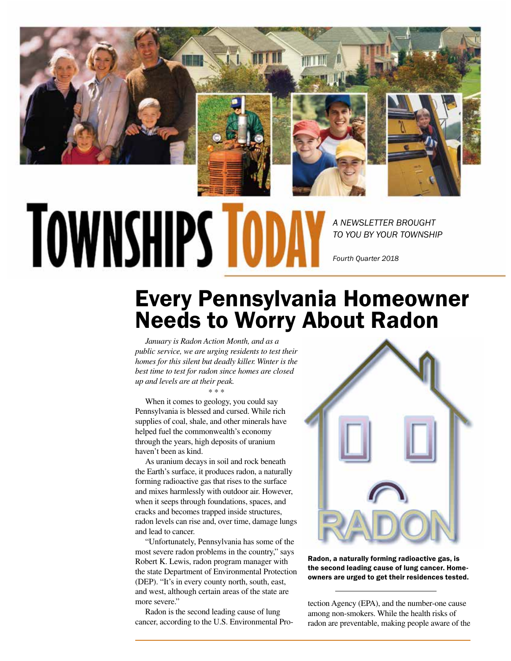

# **TOWNSHIPS TOD**

*A NEWSLETTER BROUGHT TO YOU BY YOUR TOWNSHIP*

*Fourth Quarter 2018*

## Every Pennsylvania Homeowner Needs to Worry About Radon

*January is Radon Action Month, and as a public service, we are urging residents to test their homes for this silent but deadly killer. Winter is the best time to test for radon since homes are closed up and levels are at their peak.*

\* \* \*

When it comes to geology, you could say Pennsylvania is blessed and cursed. While rich supplies of coal, shale, and other minerals have helped fuel the commonwealth's economy through the years, high deposits of uranium haven't been as kind.

As uranium decays in soil and rock beneath the Earth's surface, it produces radon, a naturally forming radioactive gas that rises to the surface and mixes harmlessly with outdoor air. However, when it seeps through foundations, spaces, and cracks and becomes trapped inside structures, radon levels can rise and, over time, damage lungs and lead to cancer.

"Unfortunately, Pennsylvania has some of the most severe radon problems in the country," says Robert K. Lewis, radon program manager with the state Department of Environmental Protection (DEP). "It's in every county north, south, east, and west, although certain areas of the state are more severe."

Radon is the second leading cause of lung cancer, according to the U.S. Environmental Pro-



Radon, a naturally forming radioactive gas, is the second leading cause of lung cancer. Homeowners are urged to get their residences tested.

tection Agency (EPA), and the number-one cause among non-smokers. While the health risks of radon are preventable, making people aware of the